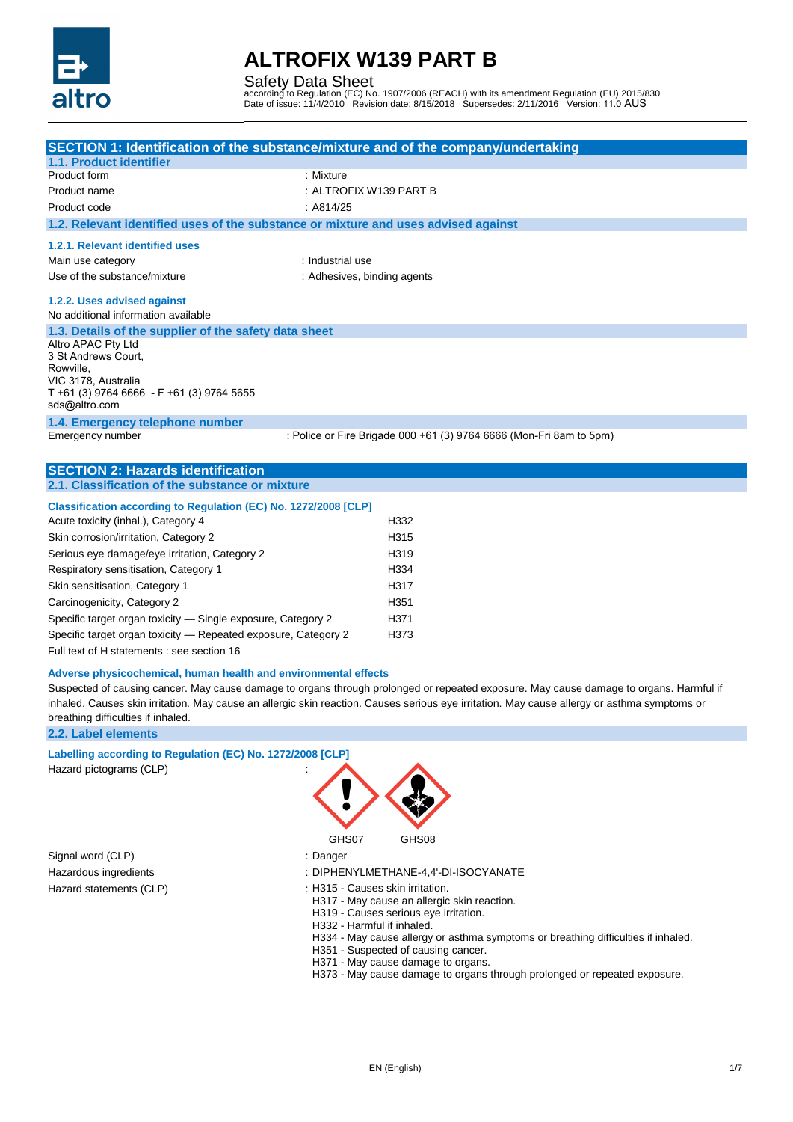

Safety Data Sheet

according to Regulation (EC) No. 1907/2006 (REACH) with its amendment Regulation (EU) 2015/830 Date of issue: 11/4/2010 Revision date: 8/15/2018 Supersedes: 2/11/2016 Version: 11.0 AUS

|                                                                                                                                                                                                      | SECTION 1: Identification of the substance/mixture and of the company/undertaking |
|------------------------------------------------------------------------------------------------------------------------------------------------------------------------------------------------------|-----------------------------------------------------------------------------------|
| 1.1. Product identifier                                                                                                                                                                              |                                                                                   |
| Product form                                                                                                                                                                                         | : Mixture                                                                         |
| Product name                                                                                                                                                                                         | : ALTROFIX W139 PART B                                                            |
| Product code                                                                                                                                                                                         | : A814/25                                                                         |
| 1.2. Relevant identified uses of the substance or mixture and uses advised against                                                                                                                   |                                                                                   |
| 1.2.1. Relevant identified uses                                                                                                                                                                      |                                                                                   |
| Main use category                                                                                                                                                                                    | : Industrial use                                                                  |
| Use of the substance/mixture                                                                                                                                                                         | : Adhesives, binding agents                                                       |
| 1.2.2. Uses advised against                                                                                                                                                                          |                                                                                   |
| No additional information available                                                                                                                                                                  |                                                                                   |
| 1.3. Details of the supplier of the safety data sheet<br>Altro APAC Pty Ltd<br>3 St Andrews Court.<br>Rowville,<br>VIC 3178, Australia<br>T +61 (3) 9764 6666 - F +61 (3) 9764 5655<br>sds@altro.com |                                                                                   |
| 1.4. Emergency telephone number                                                                                                                                                                      |                                                                                   |
| Emergency number                                                                                                                                                                                     | : Police or Fire Brigade 000 +61 (3) 9764 6666 (Mon-Fri 8am to 5pm)               |
|                                                                                                                                                                                                      |                                                                                   |
| <b>SECTION 2: Hazards identification</b>                                                                                                                                                             |                                                                                   |
| 2.1. Classification of the substance or mixture                                                                                                                                                      |                                                                                   |
| Classification according to Regulation (EC) No. 1272/2008 [CLP]                                                                                                                                      |                                                                                   |
| Acute toxicity (inhal.), Category 4                                                                                                                                                                  | H332                                                                              |
| Skin corrosion/irritation, Category 2                                                                                                                                                                | H315                                                                              |
| Serious eye damage/eye irritation, Category 2                                                                                                                                                        | H319                                                                              |
| Respiratory sensitisation, Category 1                                                                                                                                                                | H334                                                                              |
| Skin sensitisation, Category 1                                                                                                                                                                       | H317                                                                              |
| Carcinogenicity, Category 2                                                                                                                                                                          | H351                                                                              |
| Specific target organ toxicity - Single exposure, Category 2                                                                                                                                         | H371                                                                              |
| Specific target organ toxicity - Repeated exposure, Category 2                                                                                                                                       | H373                                                                              |
| $\Gamma$ . Il tant af Hatatamante i ann analysis $\Lambda$ C.                                                                                                                                        |                                                                                   |

### Full text of H statements : see section 16

#### **Adverse physicochemical, human health and environmental effects**

Suspected of causing cancer. May cause damage to organs through prolonged or repeated exposure. May cause damage to organs. Harmful if inhaled. Causes skin irritation. May cause an allergic skin reaction. Causes serious eye irritation. May cause allergy or asthma symptoms or breathing difficulties if inhaled.

#### **2.2. Label elements**

### **Labelling according to Regulation (EC) No. 1272/2008 [CLP]**

Hazard pictograms (CLP) :

Signal word (CLP) : Danger



- Hazardous ingredients : DIPHENYLMETHANE-4,4'-DI-ISOCYANATE
- Hazard statements (CLP)  $\qquad \qquad$ : H315 Causes skin irritation.
	- H317 May cause an allergic skin reaction.
	- H319 Causes serious eye irritation.
	- H332 Harmful if inhaled.
	- H334 May cause allergy or asthma symptoms or breathing difficulties if inhaled.
	- H351 Suspected of causing cancer.
	- H371 May cause damage to organs.
	- H373 May cause damage to organs through prolonged or repeated exposure.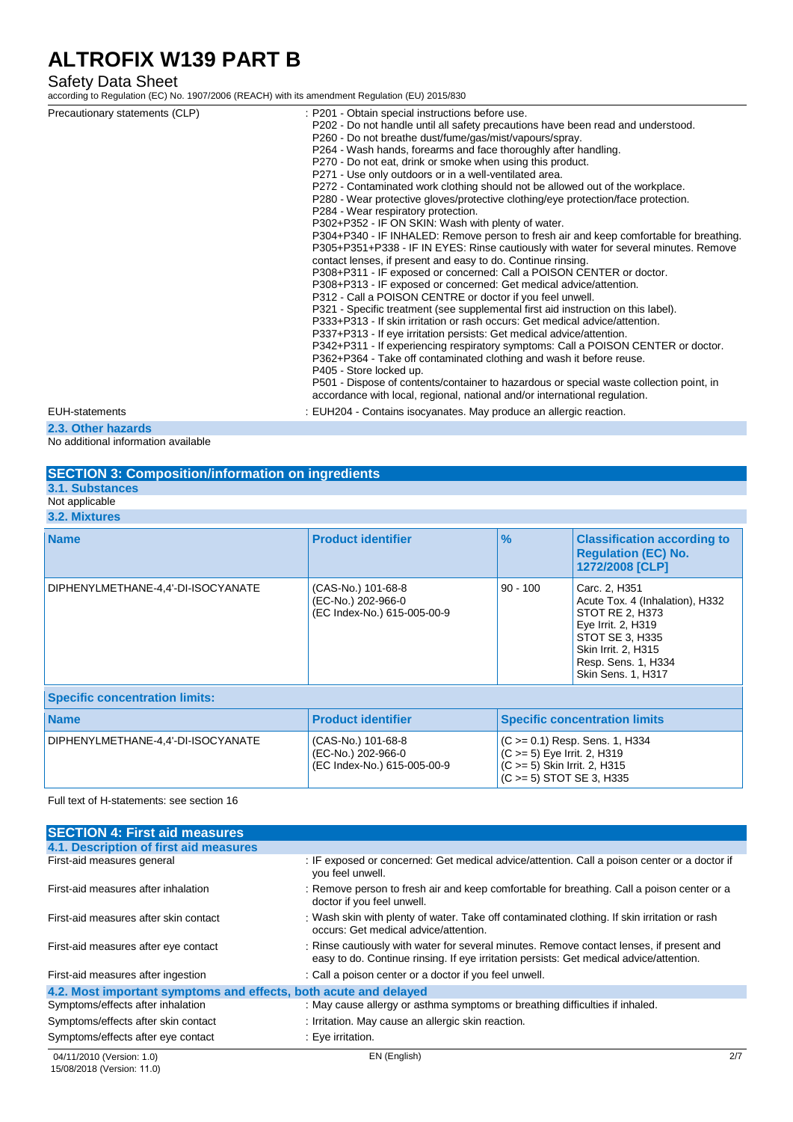### Safety Data Sheet

according to Regulation (EC) No. 1907/2006 (REACH) with its amendment Regulation (EU) 2015/830

| Precautionary statements (CLP)<br>EUH-statements | : P201 - Obtain special instructions before use.<br>P202 - Do not handle until all safety precautions have been read and understood.<br>P260 - Do not breathe dust/fume/gas/mist/vapours/spray.<br>P264 - Wash hands, forearms and face thoroughly after handling.<br>P270 - Do not eat, drink or smoke when using this product.<br>P271 - Use only outdoors or in a well-ventilated area.<br>P272 - Contaminated work clothing should not be allowed out of the workplace.<br>P280 - Wear protective gloves/protective clothing/eye protection/face protection.<br>P284 - Wear respiratory protection.<br>P302+P352 - IF ON SKIN: Wash with plenty of water.<br>P304+P340 - IF INHALED: Remove person to fresh air and keep comfortable for breathing.<br>P305+P351+P338 - IF IN EYES: Rinse cautiously with water for several minutes. Remove<br>contact lenses, if present and easy to do. Continue rinsing.<br>P308+P311 - IF exposed or concerned: Call a POISON CENTER or doctor.<br>P308+P313 - IF exposed or concerned: Get medical advice/attention.<br>P312 - Call a POISON CENTRE or doctor if you feel unwell.<br>P321 - Specific treatment (see supplemental first aid instruction on this label).<br>P333+P313 - If skin irritation or rash occurs: Get medical advice/attention.<br>P337+P313 - If eye irritation persists: Get medical advice/attention.<br>P342+P311 - If experiencing respiratory symptoms: Call a POISON CENTER or doctor.<br>P362+P364 - Take off contaminated clothing and wash it before reuse.<br>P405 - Store locked up.<br>P501 - Dispose of contents/container to hazardous or special waste collection point, in<br>accordance with local, regional, national and/or international regulation.<br>: EUH204 - Contains isocyanates. May produce an allergic reaction. |
|--------------------------------------------------|-----------------------------------------------------------------------------------------------------------------------------------------------------------------------------------------------------------------------------------------------------------------------------------------------------------------------------------------------------------------------------------------------------------------------------------------------------------------------------------------------------------------------------------------------------------------------------------------------------------------------------------------------------------------------------------------------------------------------------------------------------------------------------------------------------------------------------------------------------------------------------------------------------------------------------------------------------------------------------------------------------------------------------------------------------------------------------------------------------------------------------------------------------------------------------------------------------------------------------------------------------------------------------------------------------------------------------------------------------------------------------------------------------------------------------------------------------------------------------------------------------------------------------------------------------------------------------------------------------------------------------------------------------------------------------------------------------------------------------------------------------------------------------------------------------------------|
| 2.3. Other hazards                               |                                                                                                                                                                                                                                                                                                                                                                                                                                                                                                                                                                                                                                                                                                                                                                                                                                                                                                                                                                                                                                                                                                                                                                                                                                                                                                                                                                                                                                                                                                                                                                                                                                                                                                                                                                                                                 |
|                                                  |                                                                                                                                                                                                                                                                                                                                                                                                                                                                                                                                                                                                                                                                                                                                                                                                                                                                                                                                                                                                                                                                                                                                                                                                                                                                                                                                                                                                                                                                                                                                                                                                                                                                                                                                                                                                                 |

No additional information available

| <b>SECTION 3: Composition/information on ingredients</b> |                                                                         |               |                                                                                     |
|----------------------------------------------------------|-------------------------------------------------------------------------|---------------|-------------------------------------------------------------------------------------|
| <b>3.1. Substances</b>                                   |                                                                         |               |                                                                                     |
| Not applicable                                           |                                                                         |               |                                                                                     |
| 3.2. Mixtures                                            |                                                                         |               |                                                                                     |
| <b>Name</b>                                              | <b>Product identifier</b>                                               | $\frac{9}{6}$ | <b>Classification according to</b><br><b>Requlation (EC) No.</b><br>1272/2008 [CLP] |
| DIPHENYLMETHANE-4,4'-DI-ISOCYANATE                       | (CAS-No.) 101-68-8<br>(EC-No.) 202-966-0<br>(EC Index-No.) 615-005-00-9 | $90 - 100$    | Carc. 2, H351<br>Acute Tox. 4 (Inhalation), H332<br>STOT RE 2, H373                 |

|                                       |                                                                         | <b>Skin Sens. 1, H317</b>                                                                                                             |  |  |  |
|---------------------------------------|-------------------------------------------------------------------------|---------------------------------------------------------------------------------------------------------------------------------------|--|--|--|
| <b>Specific concentration limits:</b> |                                                                         |                                                                                                                                       |  |  |  |
| <b>Name</b>                           | <b>Product identifier</b>                                               | <b>Specific concentration limits</b>                                                                                                  |  |  |  |
| DIPHENYLMETHANE-4.4'-DI-ISOCYANATE    | (CAS-No.) 101-68-8<br>(EC-No.) 202-966-0<br>(EC Index-No.) 615-005-00-9 | $(C \ge 0.1)$ Resp. Sens. 1, H334<br>$(C \ge 5)$ Eye Irrit. 2, H319<br>$(C \ge 5)$ Skin Irrit. 2, H315<br>$(C \ge 5)$ STOT SE 3, H335 |  |  |  |

Full text of H-statements: see section 16

| <b>SECTION 4: First aid measures</b>                             |                                                                                                                                                                                     |
|------------------------------------------------------------------|-------------------------------------------------------------------------------------------------------------------------------------------------------------------------------------|
| 4.1. Description of first aid measures                           |                                                                                                                                                                                     |
| First-aid measures general                                       | : IF exposed or concerned: Get medical advice/attention. Call a poison center or a doctor if<br>you feel unwell.                                                                    |
| First-aid measures after inhalation                              | : Remove person to fresh air and keep comfortable for breathing. Call a poison center or a<br>doctor if you feel unwell.                                                            |
| First-aid measures after skin contact                            | : Wash skin with plenty of water. Take off contaminated clothing. If skin irritation or rash<br>occurs: Get medical advice/attention.                                               |
| First-aid measures after eye contact                             | : Rinse cautiously with water for several minutes. Remove contact lenses, if present and<br>easy to do. Continue rinsing. If eye irritation persists: Get medical advice/attention. |
| First-aid measures after ingestion                               | : Call a poison center or a doctor if you feel unwell.                                                                                                                              |
| 4.2. Most important symptoms and effects, both acute and delayed |                                                                                                                                                                                     |
| Symptoms/effects after inhalation                                | : May cause allergy or asthma symptoms or breathing difficulties if inhaled.                                                                                                        |
| Symptoms/effects after skin contact                              | : Irritation. May cause an allergic skin reaction.                                                                                                                                  |
| Symptoms/effects after eye contact                               | : Eye irritation.                                                                                                                                                                   |

Eye Irrit. 2, H319 STOT SE 3, H335 Skin Irrit. 2, H315 Resp. Sens. 1, H334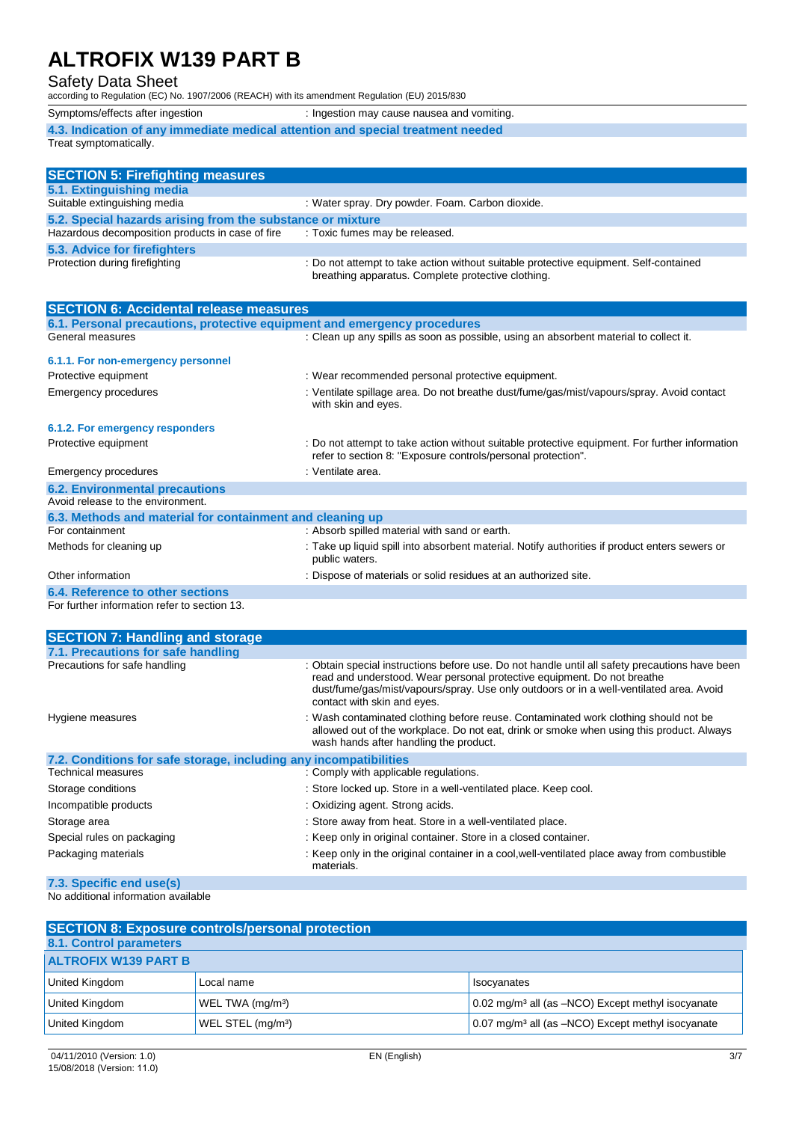## Safety Data Sheet

according to Regulation (EC) No. 1907/2006 (REACH) with its amendment Regulation (EU) 2015/830

| Symptoms/effects after ingestion                                                                                                                                                                                                                                                                                                                                                                                                                              | : Ingestion may cause nausea and vomiting. |  |
|---------------------------------------------------------------------------------------------------------------------------------------------------------------------------------------------------------------------------------------------------------------------------------------------------------------------------------------------------------------------------------------------------------------------------------------------------------------|--------------------------------------------|--|
| 4.3. Indication of any immediate medical attention and special treatment needed                                                                                                                                                                                                                                                                                                                                                                               |                                            |  |
| Treat symptomatically.                                                                                                                                                                                                                                                                                                                                                                                                                                        |                                            |  |
|                                                                                                                                                                                                                                                                                                                                                                                                                                                               |                                            |  |
| $\overline{\mathbf{A}}$ $\overline{\mathbf{B}}$ $\overline{\mathbf{A}}$ $\overline{\mathbf{B}}$ $\overline{\mathbf{B}}$ $\overline{\mathbf{B}}$ $\overline{\mathbf{B}}$ $\overline{\mathbf{B}}$ $\overline{\mathbf{B}}$ $\overline{\mathbf{B}}$ $\overline{\mathbf{B}}$ $\overline{\mathbf{B}}$ $\overline{\mathbf{B}}$ $\overline{\mathbf{B}}$ $\overline{\mathbf{B}}$ $\overline{\mathbf{B}}$ $\overline{\mathbf{B}}$ $\overline{\mathbf{B}}$ $\overline{\$ |                                            |  |

| <b>SECTION 5: Firefighting measures</b>                    |                                                                                                                                             |  |  |  |
|------------------------------------------------------------|---------------------------------------------------------------------------------------------------------------------------------------------|--|--|--|
| 5.1. Extinguishing media                                   |                                                                                                                                             |  |  |  |
| Suitable extinguishing media                               | : Water spray. Dry powder. Foam. Carbon dioxide.                                                                                            |  |  |  |
| 5.2. Special hazards arising from the substance or mixture |                                                                                                                                             |  |  |  |
| Hazardous decomposition products in case of fire           | : Toxic fumes may be released.                                                                                                              |  |  |  |
| 5.3. Advice for firefighters                               |                                                                                                                                             |  |  |  |
| Protection during firefighting                             | : Do not attempt to take action without suitable protective equipment. Self-contained<br>breathing apparatus. Complete protective clothing. |  |  |  |

| <b>SECTION 6: Accidental release measures</b>                            |                                                                                                                                                                |
|--------------------------------------------------------------------------|----------------------------------------------------------------------------------------------------------------------------------------------------------------|
| 6.1. Personal precautions, protective equipment and emergency procedures |                                                                                                                                                                |
| General measures                                                         | : Clean up any spills as soon as possible, using an absorbent material to collect it.                                                                          |
| 6.1.1. For non-emergency personnel                                       |                                                                                                                                                                |
| Protective equipment                                                     | : Wear recommended personal protective equipment.                                                                                                              |
| Emergency procedures                                                     | : Ventilate spillage area. Do not breathe dust/fume/gas/mist/vapours/spray. Avoid contact<br>with skin and eyes.                                               |
| 6.1.2. For emergency responders                                          |                                                                                                                                                                |
| Protective equipment                                                     | : Do not attempt to take action without suitable protective equipment. For further information<br>refer to section 8: "Exposure controls/personal protection". |
| Emergency procedures                                                     | : Ventilate area.                                                                                                                                              |
| <b>6.2. Environmental precautions</b>                                    |                                                                                                                                                                |
| Avoid release to the environment.                                        |                                                                                                                                                                |
| 6.3. Methods and material for containment and cleaning up                |                                                                                                                                                                |
| For containment                                                          | : Absorb spilled material with sand or earth.                                                                                                                  |
| Methods for cleaning up                                                  | : Take up liquid spill into absorbent material. Notify authorities if product enters sewers or<br>public waters.                                               |
| Other information                                                        | : Dispose of materials or solid residues at an authorized site.                                                                                                |
| 6.4. Reference to other sections                                         |                                                                                                                                                                |
| For further information refer to section 13.                             |                                                                                                                                                                |

| <b>SECTION 7: Handling and storage</b>                            |                                                                                                                                                                                                                                                                                                     |  |  |
|-------------------------------------------------------------------|-----------------------------------------------------------------------------------------------------------------------------------------------------------------------------------------------------------------------------------------------------------------------------------------------------|--|--|
| 7.1. Precautions for safe handling                                |                                                                                                                                                                                                                                                                                                     |  |  |
| Precautions for safe handling                                     | : Obtain special instructions before use. Do not handle until all safety precautions have been<br>read and understood. Wear personal protective equipment. Do not breathe<br>dust/fume/gas/mist/vapours/spray. Use only outdoors or in a well-ventilated area. Avoid<br>contact with skin and eyes. |  |  |
| Hygiene measures                                                  | : Wash contaminated clothing before reuse. Contaminated work clothing should not be<br>allowed out of the workplace. Do not eat, drink or smoke when using this product. Always<br>wash hands after handling the product.                                                                           |  |  |
| 7.2. Conditions for safe storage, including any incompatibilities |                                                                                                                                                                                                                                                                                                     |  |  |
| Technical measures                                                | : Comply with applicable regulations.                                                                                                                                                                                                                                                               |  |  |
| Storage conditions                                                | : Store locked up. Store in a well-ventilated place. Keep cool.                                                                                                                                                                                                                                     |  |  |
| Incompatible products                                             | : Oxidizing agent. Strong acids.                                                                                                                                                                                                                                                                    |  |  |
| Storage area                                                      | : Store away from heat. Store in a well-ventilated place.                                                                                                                                                                                                                                           |  |  |
| Special rules on packaging                                        | : Keep only in original container. Store in a closed container.                                                                                                                                                                                                                                     |  |  |
| Packaging materials                                               | : Keep only in the original container in a cool, well-ventilated place away from combustible<br>materials.                                                                                                                                                                                          |  |  |
| 7.3. Specific end use(s)                                          |                                                                                                                                                                                                                                                                                                     |  |  |

No additional information available

| <b>SECTION 8: Exposure controls/personal protection</b> |                               |                                                                    |  |  |
|---------------------------------------------------------|-------------------------------|--------------------------------------------------------------------|--|--|
| 8.1. Control parameters                                 |                               |                                                                    |  |  |
| <b>ALTROFIX W139 PART B</b>                             |                               |                                                                    |  |  |
| United Kingdom                                          | Local name                    | I Isocyanates                                                      |  |  |
| United Kingdom                                          | WEL TWA (mg/m <sup>3</sup> )  | 0.02 mg/m <sup>3</sup> all (as -NCO) Except methyl isocyanate      |  |  |
| United Kingdom                                          | WEL STEL (mg/m <sup>3</sup> ) | $0.07$ mg/m <sup>3</sup> all (as $-NCO$ ) Except methyl isocyanate |  |  |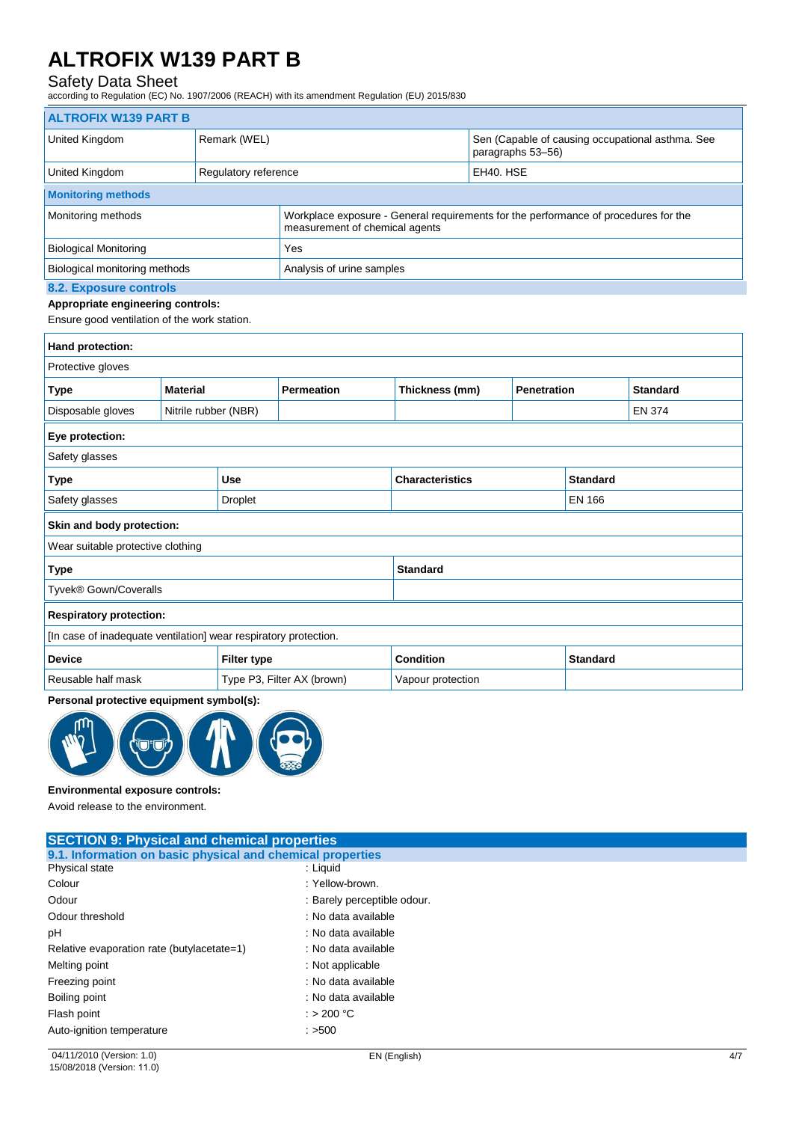## Safety Data Sheet

according to Regulation (EC) No. 1907/2006 (REACH) with its amendment Regulation (EU) 2015/830

|                                                                                                                    | <b>ALTROFIX W139 PART B</b> |                                |                            |                                                                       |                                                                                     |                 |                 |  |
|--------------------------------------------------------------------------------------------------------------------|-----------------------------|--------------------------------|----------------------------|-----------------------------------------------------------------------|-------------------------------------------------------------------------------------|-----------------|-----------------|--|
| United Kingdom                                                                                                     |                             | Remark (WEL)                   |                            | Sen (Capable of causing occupational asthma. See<br>paragraphs 53-56) |                                                                                     |                 |                 |  |
| United Kingdom                                                                                                     |                             | Regulatory reference           |                            | EH40. HSE                                                             |                                                                                     |                 |                 |  |
| <b>Monitoring methods</b>                                                                                          |                             |                                |                            |                                                                       |                                                                                     |                 |                 |  |
| Monitoring methods                                                                                                 |                             | measurement of chemical agents |                            |                                                                       | Workplace exposure - General requirements for the performance of procedures for the |                 |                 |  |
| <b>Biological Monitoring</b>                                                                                       |                             |                                | Yes                        |                                                                       |                                                                                     |                 |                 |  |
| Biological monitoring methods                                                                                      |                             |                                | Analysis of urine samples  |                                                                       |                                                                                     |                 |                 |  |
| <b>8.2. Exposure controls</b><br>Appropriate engineering controls:<br>Ensure good ventilation of the work station. |                             |                                |                            |                                                                       |                                                                                     |                 |                 |  |
| Hand protection:                                                                                                   |                             |                                |                            |                                                                       |                                                                                     |                 |                 |  |
| Protective gloves                                                                                                  |                             |                                |                            |                                                                       |                                                                                     |                 |                 |  |
| <b>Type</b>                                                                                                        | <b>Material</b>             |                                | <b>Permeation</b>          |                                                                       | Thickness (mm)<br><b>Penetration</b>                                                |                 | <b>Standard</b> |  |
| Disposable gloves                                                                                                  | Nitrile rubber (NBR)        |                                |                            |                                                                       |                                                                                     | <b>EN 374</b>   |                 |  |
| Eye protection:                                                                                                    |                             |                                |                            |                                                                       |                                                                                     |                 |                 |  |
| Safety glasses                                                                                                     |                             |                                |                            |                                                                       |                                                                                     |                 |                 |  |
| <b>Type</b>                                                                                                        |                             | <b>Use</b>                     |                            | <b>Characteristics</b>                                                |                                                                                     | <b>Standard</b> |                 |  |
| Safety glasses                                                                                                     | <b>Droplet</b>              |                                |                            |                                                                       |                                                                                     | <b>EN 166</b>   |                 |  |
| Skin and body protection:                                                                                          |                             |                                |                            |                                                                       |                                                                                     |                 |                 |  |
| Wear suitable protective clothing                                                                                  |                             |                                |                            |                                                                       |                                                                                     |                 |                 |  |
| <b>Standard</b><br><b>Type</b>                                                                                     |                             |                                |                            |                                                                       |                                                                                     |                 |                 |  |
| Tyvek® Gown/Coveralls                                                                                              |                             |                                |                            |                                                                       |                                                                                     |                 |                 |  |
| <b>Respiratory protection:</b>                                                                                     |                             |                                |                            |                                                                       |                                                                                     |                 |                 |  |
| [In case of inadequate ventilation] wear respiratory protection.                                                   |                             |                                |                            |                                                                       |                                                                                     |                 |                 |  |
| <b>Device</b>                                                                                                      | <b>Filter type</b>          |                                |                            | <b>Condition</b>                                                      |                                                                                     | <b>Standard</b> |                 |  |
| Reusable half mask                                                                                                 |                             |                                | Type P3, Filter AX (brown) | Vapour protection                                                     |                                                                                     |                 |                 |  |
| Personal protective equipment symbol(s):                                                                           |                             |                                |                            |                                                                       |                                                                                     |                 |                 |  |



#### **Environmental exposure controls:**

Avoid release to the environment.

| <b>SECTION 9: Physical and chemical properties</b>         |                             |  |  |  |
|------------------------------------------------------------|-----------------------------|--|--|--|
| 9.1. Information on basic physical and chemical properties |                             |  |  |  |
| Physical state                                             | : Liquid                    |  |  |  |
| Colour                                                     | : Yellow-brown.             |  |  |  |
| Odour                                                      | : Barely perceptible odour. |  |  |  |
| Odour threshold                                            | : No data available         |  |  |  |
| pH                                                         | : No data available         |  |  |  |
| Relative evaporation rate (butylacetate=1)                 | : No data available         |  |  |  |
| Melting point                                              | : Not applicable            |  |  |  |
| Freezing point                                             | : No data available         |  |  |  |
| Boiling point                                              | : No data available         |  |  |  |
| Flash point                                                | : > 200 °C                  |  |  |  |
| Auto-ignition temperature                                  | $:$ >500                    |  |  |  |
|                                                            |                             |  |  |  |

٦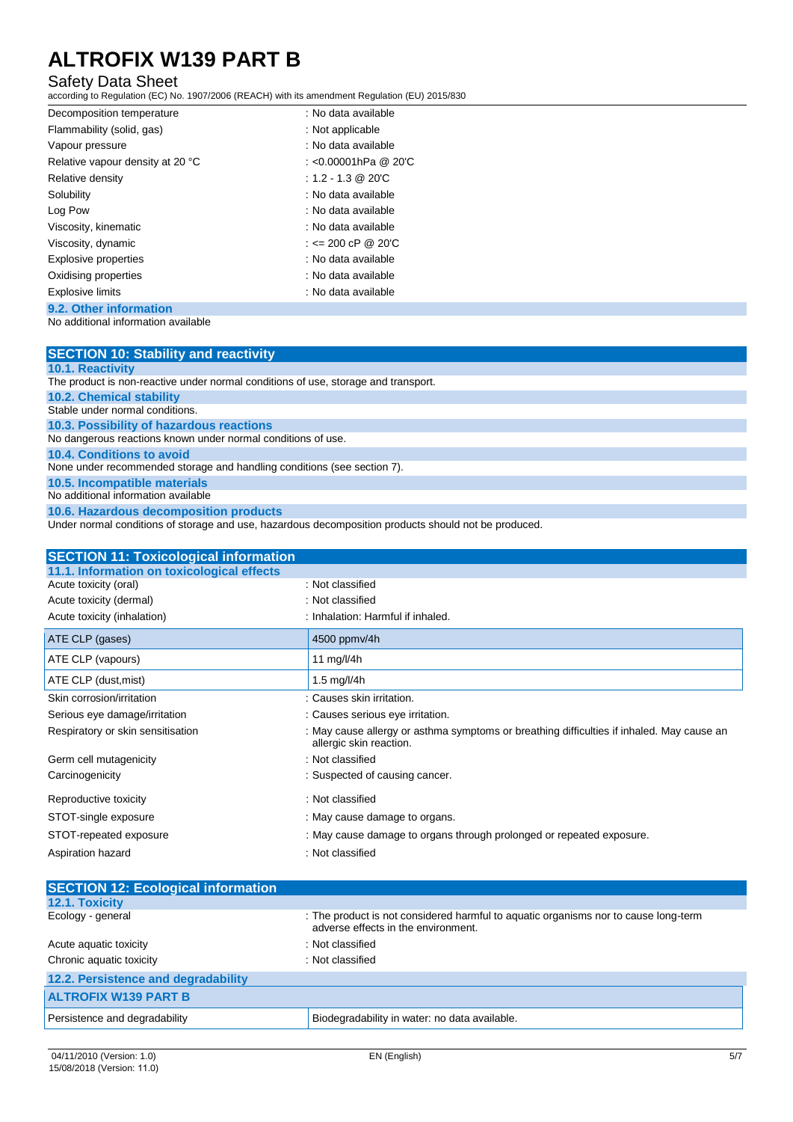### Safety Data Sheet

according to Regulation (EC) No. 1907/2006 (REACH) with its amendment Regulation (EU) 2015/830

| Decomposition temperature        | : No data available      |
|----------------------------------|--------------------------|
| Flammability (solid, gas)        | : Not applicable         |
| Vapour pressure                  | : No data available      |
| Relative vapour density at 20 °C | : < $0.00001$ hPa @ 20'C |
| Relative density                 | $: 1.2 - 1.3$ @ 20 °C    |
| Solubility                       | : No data available      |
| Log Pow                          | : No data available      |
| Viscosity, kinematic             | : No data available      |
| Viscosity, dynamic               | : $\leq$ 200 cP @ 20'C   |
| <b>Explosive properties</b>      | : No data available      |
| Oxidising properties             | : No data available      |
| <b>Explosive limits</b>          | : No data available      |
| 9.2. Other information           |                          |

No additional information available

| <b>SECTION 10: Stability and reactivity</b>                                        |
|------------------------------------------------------------------------------------|
| <b>10.1. Reactivity</b>                                                            |
| The product is non-reactive under normal conditions of use, storage and transport. |
| <b>10.2. Chemical stability</b>                                                    |
| Stable under normal conditions.                                                    |
| 10.3. Possibility of hazardous reactions                                           |
| No dangerous reactions known under normal conditions of use.                       |
| 10.4. Conditions to avoid                                                          |
| None under recommended storage and handling conditions (see section 7).            |
| 10.5. Incompatible materials                                                       |
| No additional information available                                                |
| 10.6. Hazardous decomposition products                                             |

Under normal conditions of storage and use, hazardous decomposition products should not be produced.

| <b>SECTION 11: Toxicological information</b> |                                                                                                                      |
|----------------------------------------------|----------------------------------------------------------------------------------------------------------------------|
| 11.1. Information on toxicological effects   |                                                                                                                      |
| Acute toxicity (oral)                        | : Not classified                                                                                                     |
| Acute toxicity (dermal)                      | : Not classified                                                                                                     |
| Acute toxicity (inhalation)                  | : Inhalation: Harmful if inhaled.                                                                                    |
| ATE CLP (gases)                              | 4500 ppmv/4h                                                                                                         |
| ATE CLP (vapours)                            | 11 mg/l/4h                                                                                                           |
| ATE CLP (dust, mist)                         | 1.5 mg/l/4h                                                                                                          |
| Skin corrosion/irritation                    | : Causes skin irritation.                                                                                            |
| Serious eye damage/irritation                | : Causes serious eye irritation.                                                                                     |
| Respiratory or skin sensitisation            | : May cause allergy or asthma symptoms or breathing difficulties if inhaled. May cause an<br>allergic skin reaction. |
| Germ cell mutagenicity                       | : Not classified                                                                                                     |
| Carcinogenicity                              | : Suspected of causing cancer.                                                                                       |
| Reproductive toxicity                        | : Not classified                                                                                                     |
| STOT-single exposure                         | : May cause damage to organs.                                                                                        |
| STOT-repeated exposure                       | : May cause damage to organs through prolonged or repeated exposure.                                                 |
| Aspiration hazard                            | : Not classified                                                                                                     |

| <b>SECTION 12: Ecological information</b> |                                                                                                                            |
|-------------------------------------------|----------------------------------------------------------------------------------------------------------------------------|
| 12.1. Toxicity                            |                                                                                                                            |
| Ecology - general                         | : The product is not considered harmful to aquatic organisms nor to cause long-term<br>adverse effects in the environment. |
| Acute aquatic toxicity                    | : Not classified                                                                                                           |
| Chronic aquatic toxicity                  | : Not classified                                                                                                           |
| 12.2. Persistence and degradability       |                                                                                                                            |
| <b>ALTROFIX W139 PART B</b>               |                                                                                                                            |
| Persistence and degradability             | Biodegradability in water: no data available.                                                                              |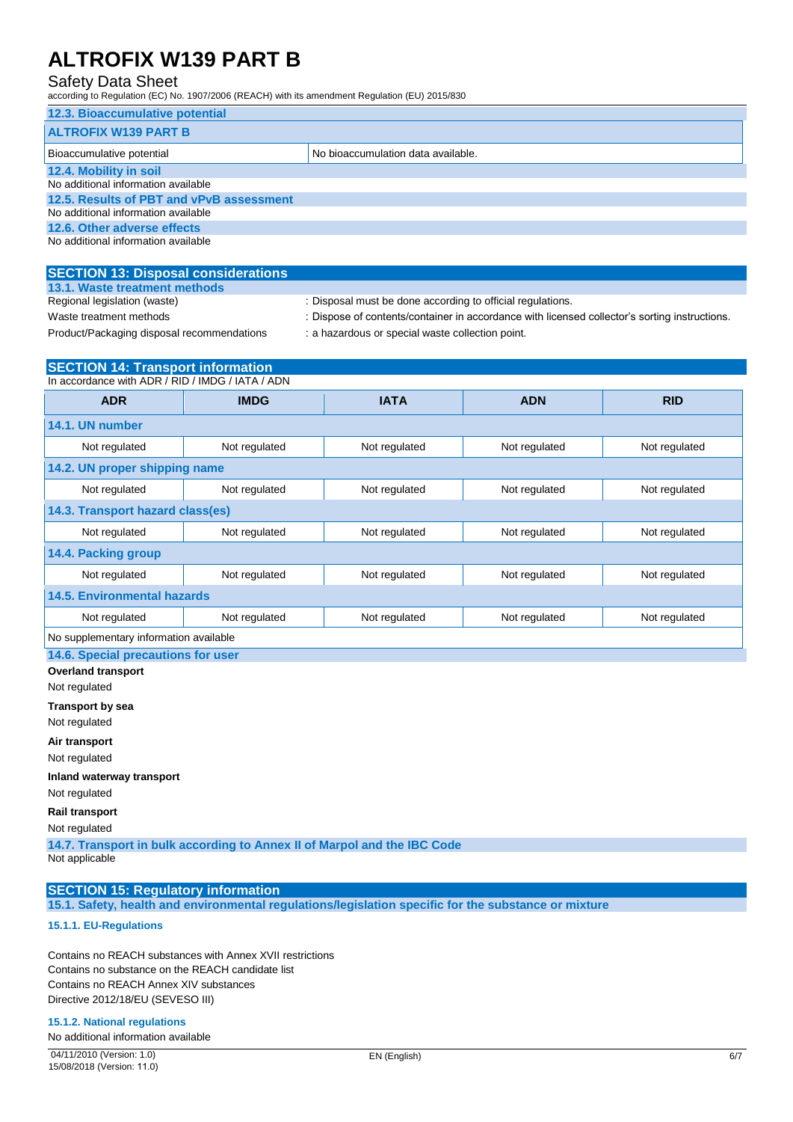### Safety Data Sheet

according to Regulation (EC) No. 1907/2006 (REACH) with its amendment Regulation (EU) 2015/830

| 12.3. Bioaccumulative potential          |                                    |  |
|------------------------------------------|------------------------------------|--|
| <b>ALTROFIX W139 PART B</b>              |                                    |  |
| Bioaccumulative potential                | No bioaccumulation data available. |  |
| 12.4. Mobility in soil                   |                                    |  |
| No additional information available      |                                    |  |
| 12.5. Results of PBT and vPvB assessment |                                    |  |
| No additional information available      |                                    |  |
| 12.6. Other adverse effects              |                                    |  |
| No additional information available      |                                    |  |

#### **SECTION 13: Disposal considerations 13.1. Waste treatment methods**

Product/Packaging disposal recommendations : a hazardous or special waste collection point.

Regional legislation (waste) : Disposal must be done according to official regulations.

Waste treatment methods : Dispose of contents/container in accordance with licensed collector's sorting instructions.

| <b>SECTION 14: Transport information</b>         |               |               |               |               |
|--------------------------------------------------|---------------|---------------|---------------|---------------|
| In accordance with ADR / RID / IMDG / IATA / ADN |               |               |               |               |
| <b>ADR</b>                                       | <b>IMDG</b>   | <b>IATA</b>   | <b>ADN</b>    | <b>RID</b>    |
| 14.1. UN number                                  |               |               |               |               |
| Not regulated                                    | Not regulated | Not regulated | Not regulated | Not regulated |
| 14.2. UN proper shipping name                    |               |               |               |               |
| Not regulated                                    | Not regulated | Not regulated | Not regulated | Not regulated |
| 14.3. Transport hazard class(es)                 |               |               |               |               |
| Not regulated                                    | Not regulated | Not regulated | Not regulated | Not regulated |
| 14.4. Packing group                              |               |               |               |               |
| Not regulated                                    | Not regulated | Not regulated | Not regulated | Not regulated |
| <b>14.5. Environmental hazards</b>               |               |               |               |               |
| Not regulated                                    | Not regulated | Not regulated | Not regulated | Not regulated |
| No supplementary information available           |               |               |               |               |
| 14 C Consolo processions for user                |               |               |               |               |

**14.6. Special precautions for use** 

**Overland transport**

Not regulated

**Transport by sea**

Not regulated

**Air transport**

Not regulated

**Inland waterway transport**

Not regulated

**Rail transport**

Not regulated

**14.7. Transport in bulk according to Annex II of Marpol and the IBC Code** Not applicable

## **SECTION 15: Regulatory information**

**15.1. Safety, health and environmental regulations/legislation specific for the substance or mixture**

#### **15.1.1. EU-Regulations**

Contains no REACH substances with Annex XVII restrictions Contains no substance on the REACH candidate list Contains no REACH Annex XIV substances Directive 2012/18/EU (SEVESO III)

#### **15.1.2. National regulations**

No additional information available